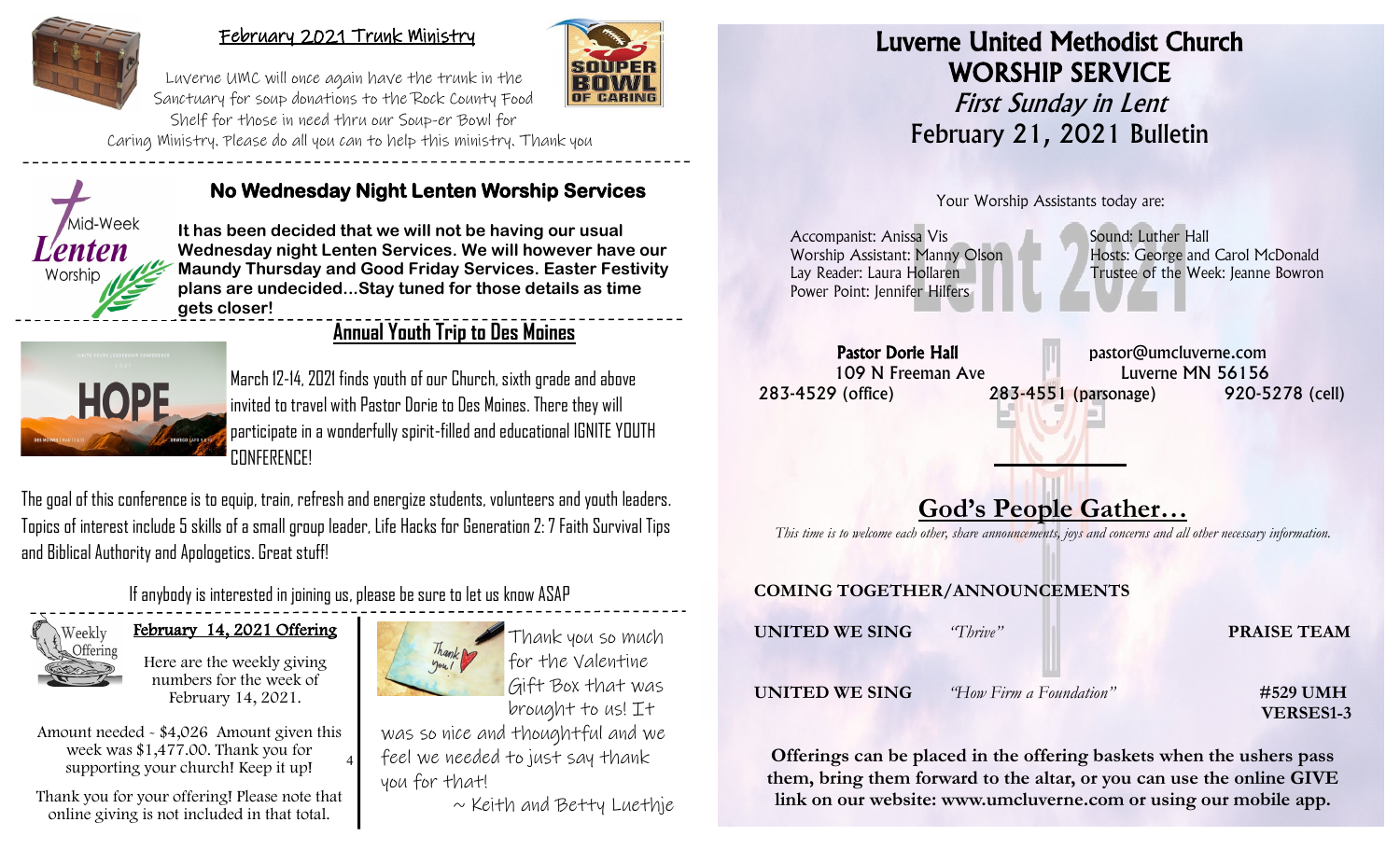

#### February 2021 Trunk Ministry



Luverne UMC will once again have the trunk in the Sanctuary for soup donations to the Rock County Food Shelf for those in need thru our Soup-er Bowl for

Caring Ministry. Please do all you can to help this ministry. Thank you



#### **No Wednesday Night Lenten Worship Services**

**It has been decided that we will not be having our usual Wednesday night Lenten Services. We will however have our Maundy Thursday and Good Friday Services. Easter Festivity plans are undecided...Stay tuned for those details as time gets closer!**

## **Annual Youth Trip to Des Moines**



March 12-14, 2021 finds youth of our Church, sixth grade and above invited to travel with Pastor Dorie to Des Moines. There they will participate in a wonderfully spirit-filled and educational IGNITE YOUTH CONFERENCE!

The goal of this conference is to equip, train, refresh and energize students, volunteers and youth leaders. Topics of interest include 5 skills of a small group leader, Life Hacks for Generation 2: 7 Faith Survival Tips and Biblical Authority and Apologetics. Great stuff!

If anybody is interested in joining us, please be sure to let us know ASAP



February 14, 2021 Offering

Here are the weekly giving numbers for the week of February 14, 2021.

4 Amount needed - \$4,026 Amount given this week was \$1,477.00. Thank you for supporting your church! Keep it up!

Thank you for your offering! Please note that online giving is not included in that total.





for the Valentine Gift Box that was brought to us! It

was so nice and thoughtful and we feel we needed to just say thank you for that!

 $\sim$  Keith and Betty Luethje

## Luverne United Methodist Church WORSHIP SERVICE First Sunday in Lent February 21, 2021 Bulletin

Your Worship Assistants today are:

Accompanist: Anissa Vis Sound: Luther Hall Worship Assistant: Manny Olson Hosts: George and Carol McDonald Lay Reader: Laura Hollaren Trustee of the Week: Jeanne Bowron Power Point: Jennifer Hilfers

Pastor Dorie Hall **Pastor** Dorie Hall pastor@umcluverne.com 109 N Freeman Ave **Luverne MN** 56156 283-4529 (office) 283-4551 (parsonage) 920-5278 (cell) l

# **God's People Gather…**

f

*This time is to welcome each other, share announcements, joys and concerns and all other necessary information.*

#### **COMING TOGETHER/ANNOUNCEMENTS**

| UNITED WE SING | "Thrive"                        | <b>PRAISE TEAM</b>           |
|----------------|---------------------------------|------------------------------|
| UNITED WE SING | <i>'How Firm a Foundation''</i> | #529 UMH<br><b>VERSES1-3</b> |

**Offerings can be placed in the offering baskets when the ushers pass them, bring them forward to the altar, or you can use the online GIVE link on our website: www.umcluverne.com or using our mobile app.**